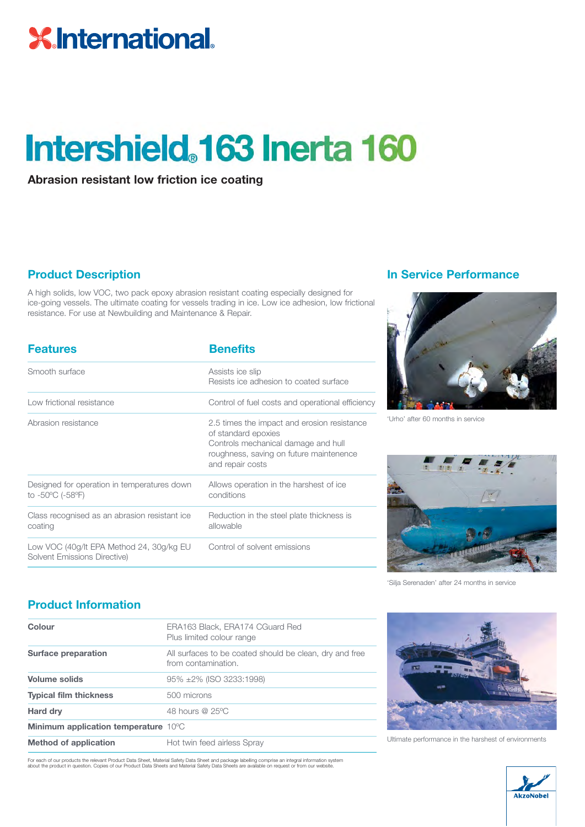## **XInternational.**

## Intershield. 163 Inerta 160

**Abrasion resistant low friction ice coating**

A high solids, low VOC, two pack epoxy abrasion resistant coating especially designed for ice-going vessels. The ultimate coating for vessels trading in ice. Low ice adhesion, low frictional resistance. For use at Newbuilding and Maintenance & Repair.

| <b>Features</b>                                                          | <b>Benefits</b>                                                                                                                                                          |
|--------------------------------------------------------------------------|--------------------------------------------------------------------------------------------------------------------------------------------------------------------------|
| Smooth surface                                                           | Assists ice slip<br>Resists ice adhesion to coated surface                                                                                                               |
| Low frictional resistance                                                | Control of fuel costs and operational efficiency                                                                                                                         |
| Abrasion resistance                                                      | 2.5 times the impact and erosion resistance<br>of standard epoxies<br>Controls mechanical damage and hull<br>roughness, saving on future maintenence<br>and repair costs |
| Designed for operation in temperatures down<br>to -50°C (-58°F)          | Allows operation in the harshest of ice<br>conditions                                                                                                                    |
| Class recognised as an abrasion resistant ice<br>coating                 | Reduction in the steel plate thickness is<br>allowable                                                                                                                   |
| Low VOC (40g/lt EPA Method 24, 30g/kg EU<br>Solvent Emissions Directive) | Control of solvent emissions                                                                                                                                             |

#### **Product Description In Service Performance**



'Urho' after 60 months in service



'Silja Serenaden' after 24 months in service

### **Product Information**

| Colour                                      | ERA163 Black, ERA174 CGuard Red<br>Plus limited colour range                   |
|---------------------------------------------|--------------------------------------------------------------------------------|
| Surface preparation                         | All surfaces to be coated should be clean, dry and free<br>from contamination. |
| <b>Volume solids</b>                        | 95% ±2% (ISO 3233:1998)                                                        |
| <b>Typical film thickness</b>               | 500 microns                                                                    |
| Hard dry                                    | 48 hours @ 25°C                                                                |
| <b>Minimum application temperature 10°C</b> |                                                                                |
| <b>Method of application</b>                | Hot twin feed airless Spray                                                    |

For each of our products the relevant Product Data Sheet, Material Safety Data Sheet and package labelling comprise an integral information system<br>about the product in question. Copies of our Product Data Sheets and Materi



Ultimate performance in the harshest of environments